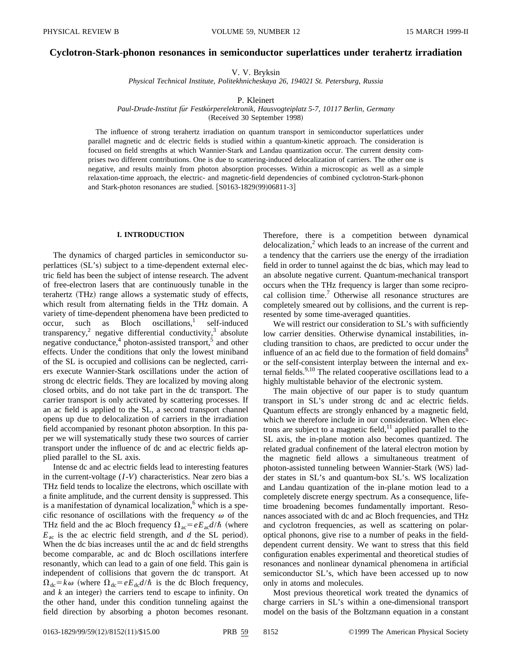# **Cyclotron-Stark-phonon resonances in semiconductor superlattices under terahertz irradiation**

V. V. Bryksin

*Physical Technical Institute, Politekhnicheskaya 26, 194021 St. Petersburg, Russia*

#### P. Kleinert

*Paul-Drude-Institut fu¨r Festko¨rperelektronik, Hausvogteiplatz 5-7, 10117 Berlin, Germany*

(Received 30 September 1998)

The influence of strong terahertz irradiation on quantum transport in semiconductor superlattices under parallel magnetic and dc electric fields is studied within a quantum-kinetic approach. The consideration is focused on field strengths at which Wannier-Stark and Landau quantization occur. The current density comprises two different contributions. One is due to scattering-induced delocalization of carriers. The other one is negative, and results mainly from photon absorption processes. Within a microscopic as well as a simple relaxation-time approach, the electric- and magnetic-field dependencies of combined cyclotron-Stark-phonon and Stark-photon resonances are studied.  $[$0163-1829(99)06811-3]$ 

## **I. INTRODUCTION**

The dynamics of charged particles in semiconductor superlattices (SL's) subject to a time-dependent external electric field has been the subject of intense research. The advent of free-electron lasers that are continuously tunable in the terahertz (THz) range allows a systematic study of effects, which result from alternating fields in the THz domain. A variety of time-dependent phenomena have been predicted to occur, such as Bloch oscillations, $\frac{1}{1}$  self-induced transparency,<sup>2</sup> negative differential conductivity,<sup>3</sup> absolute negative conductance, $4$  photon-assisted transport, $5$  and other effects. Under the conditions that only the lowest miniband of the SL is occupied and collisions can be neglected, carriers execute Wannier-Stark oscillations under the action of strong dc electric fields. They are localized by moving along closed orbits, and do not take part in the dc transport. The carrier transport is only activated by scattering processes. If an ac field is applied to the SL, a second transport channel opens up due to delocalization of carriers in the irradiation field accompanied by resonant photon absorption. In this paper we will systematically study these two sources of carrier transport under the influence of dc and ac electric fields applied parallel to the SL axis.

Intense dc and ac electric fields lead to interesting features in the current-voltage (*I*-*V*) characteristics. Near zero bias a THz field tends to localize the electrons, which oscillate with a finite amplitude, and the current density is suppressed. This is a manifestation of dynamical localization, $6$  which is a specific resonance of oscillations with the frequency  $\omega$  of the THz field and the ac Bloch frequency  $\Omega_{ac} = eE_{ac}d/\hbar$  (where  $E_{ac}$  is the ac electric field strength, and *d* the SL period). When the dc bias increases until the ac and dc field strengths become comparable, ac and dc Bloch oscillations interfere resonantly, which can lead to a gain of one field. This gain is independent of collisions that govern the dc transport. At  $\Omega_{dc} = k\omega$  (where  $\Omega_{dc} = eE_{dc}d/\hbar$  is the dc Bloch frequency, and  $k$  an integer) the carriers tend to escape to infinity. On the other hand, under this condition tunneling against the field direction by absorbing a photon becomes resonant. Therefore, there is a competition between dynamical delocalization, $2$  which leads to an increase of the current and a tendency that the carriers use the energy of the irradiation field in order to tunnel against the dc bias, which may lead to an absolute negative current. Quantum-mechanical transport occurs when the THz frequency is larger than some reciprocal collision time.<sup>7</sup> Otherwise all resonance structures are completely smeared out by collisions, and the current is represented by some time-averaged quantities.

We will restrict our consideration to SL's with sufficiently low carrier densities. Otherwise dynamical instabilities, including transition to chaos, are predicted to occur under the influence of an ac field due to the formation of field domains<sup>8</sup> or the self-consistent interplay between the internal and external fields. $9,10$  The related cooperative oscillations lead to a highly multistable behavior of the electronic system.

The main objective of our paper is to study quantum transport in SL's under strong dc and ac electric fields. Quantum effects are strongly enhanced by a magnetic field, which we therefore include in our consideration. When electrons are subject to a magnetic field, $^{11}$  applied parallel to the SL axis, the in-plane motion also becomes quantized. The related gradual confinement of the lateral electron motion by the magnetic field allows a simultaneous treatment of photon-assisted tunneling between Wannier-Stark (WS) ladder states in SL's and quantum-box SL's. WS localization and Landau quantization of the in-plane motion lead to a completely discrete energy spectrum. As a consequence, lifetime broadening becomes fundamentally important. Resonances associated with dc and ac Bloch frequencies, and THz and cyclotron frequencies, as well as scattering on polaroptical phonons, give rise to a number of peaks in the fielddependent current density. We want to stress that this field configuration enables experimental and theoretical studies of resonances and nonlinear dynamical phenomena in artificial semiconductor SL's, which have been accessed up to now only in atoms and molecules.

Most previous theoretical work treated the dynamics of charge carriers in SL's within a one-dimensional transport model on the basis of the Boltzmann equation in a constant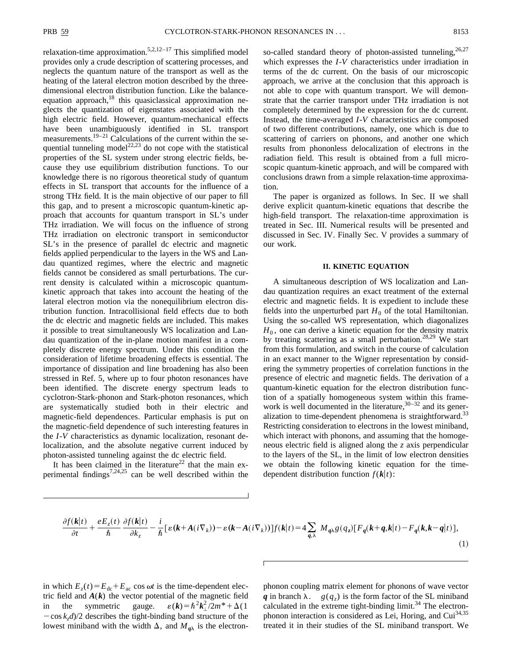relaxation-time approximation.<sup>5,2,12–17</sup> This simplified model provides only a crude description of scattering processes, and neglects the quantum nature of the transport as well as the heating of the lateral electron motion described by the threedimensional electron distribution function. Like the balanceequation approach, $18$  this quasiclassical approximation neglects the quantization of eigenstates associated with the high electric field. However, quantum-mechanical effects have been unambiguously identified in SL transport measurements.<sup>19–21</sup> Calculations of the current within the sequential tunneling model<sup> $22,23$ </sup> do not cope with the statistical properties of the SL system under strong electric fields, because they use equilibrium distribution functions. To our knowledge there is no rigorous theoretical study of quantum effects in SL transport that accounts for the influence of a strong THz field. It is the main objective of our paper to fill this gap, and to present a microscopic quantum-kinetic approach that accounts for quantum transport in SL's under THz irradiation. We will focus on the influence of strong THz irradiation on electronic transport in semiconductor SL's in the presence of parallel dc electric and magnetic fields applied perpendicular to the layers in the WS and Landau quantized regimes, where the electric and magnetic fields cannot be considered as small perturbations. The current density is calculated within a microscopic quantumkinetic approach that takes into account the heating of the lateral electron motion via the nonequilibrium electron distribution function. Intracollisional field effects due to both the dc electric and magnetic fields are included. This makes it possible to treat simultaneously WS localization and Landau quantization of the in-plane motion manifest in a completely discrete energy spectrum. Under this condition the consideration of lifetime broadening effects is essential. The importance of dissipation and line broadening has also been stressed in Ref. 5, where up to four photon resonances have been identified. The discrete energy spectrum leads to cyclotron-Stark-phonon and Stark-photon resonances, which are systematically studied both in their electric and magnetic-field dependences. Particular emphasis is put on the magnetic-field dependence of such interesting features in the *I*-*V* characteristics as dynamic localization, resonant delocalization, and the absolute negative current induced by photon-assisted tunneling against the dc electric field.

It has been claimed in the literature<sup>22</sup> that the main experimental findings<sup>7,24,25</sup> can be well described within the so-called standard theory of photon-assisted tunneling,<sup>26,27</sup> which expresses the *I*-*V* characteristics under irradiation in terms of the dc current. On the basis of our microscopic approach, we arrive at the conclusion that this approach is not able to cope with quantum transport. We will demonstrate that the carrier transport under THz irradiation is not completely determined by the expression for the dc current. Instead, the time-averaged *I*-*V* characteristics are composed of two different contributions, namely, one which is due to scattering of carriers on phonons, and another one which results from phononless delocalization of electrons in the radiation field. This result is obtained from a full microscopic quantum-kinetic approach, and will be compared with conclusions drawn from a simple relaxation-time approximation.

The paper is organized as follows. In Sec. II we shall derive explicit quantum-kinetic equations that describe the high-field transport. The relaxation-time approximation is treated in Sec. III. Numerical results will be presented and discussed in Sec. IV. Finally Sec. V provides a summary of our work.

#### **II. KINETIC EQUATION**

A simultaneous description of WS localization and Landau quantization requires an exact treatment of the external electric and magnetic fields. It is expedient to include these fields into the unperturbed part  $H_0$  of the total Hamiltonian. Using the so-called WS representation, which diagonalizes  $H_0$ , one can derive a kinetic equation for the density matrix by treating scattering as a small perturbation.<sup>28,29</sup> We start from this formulation, and switch in the course of calculation in an exact manner to the Wigner representation by considering the symmetry properties of correlation functions in the presence of electric and magnetic fields. The derivation of a quantum-kinetic equation for the electron distribution function of a spatially homogeneous system within this framework is well documented in the literature,  $30-32$  and its generalization to time-dependent phenomena is straightforward.<sup>33</sup> Restricting consideration to electrons in the lowest miniband, which interact with phonons, and assuming that the homogeneous electric field is aligned along the *z* axis perpendicular to the layers of the SL, in the limit of low electron densities we obtain the following kinetic equation for the timedependent distribution function  $f(\mathbf{k}|t)$ :

$$
\frac{\partial f(\mathbf{k}|t)}{\partial t} + \frac{eE_z(t)}{\hbar} \frac{\partial f(\mathbf{k}|t)}{\partial k_z} - \frac{i}{\hbar} \Big[ \varepsilon (\mathbf{k} + A(i\nabla_k)) - \varepsilon (\mathbf{k} - A(i\nabla_k)) \Big] f(\mathbf{k}|t) = 4 \sum_{q,\lambda} M_{q\lambda} g(q_z) \Big[ F_q(\mathbf{k} + \mathbf{q}, \mathbf{k}|t) - F_q(\mathbf{k}, \mathbf{k} - \mathbf{q}|t) \Big],\tag{1}
$$

in which  $E_z(t) = E_{dc} + E_{ac} \cos \omega t$  is the time-dependent electric field and  $A(k)$  the vector potential of the magnetic field in the symmetric gauge.  $\varepsilon(k) = \hbar^2 k_\perp^2 / 2m^* + \Delta(1)$  $-\cos k_z d/2$  describes the tight-binding band structure of the lowest miniband with the width  $\Delta$ , and  $M_{q\lambda}$  is the electronphonon coupling matrix element for phonons of wave vector *q* in branch  $\lambda$ . *g*(*q<sub>z</sub>*) is the form factor of the SL miniband calculated in the extreme tight-binding limit. $34$  The electronphonon interaction is considered as Lei, Horing, and Cui<sup>34,35</sup> treated it in their studies of the SL miniband transport. We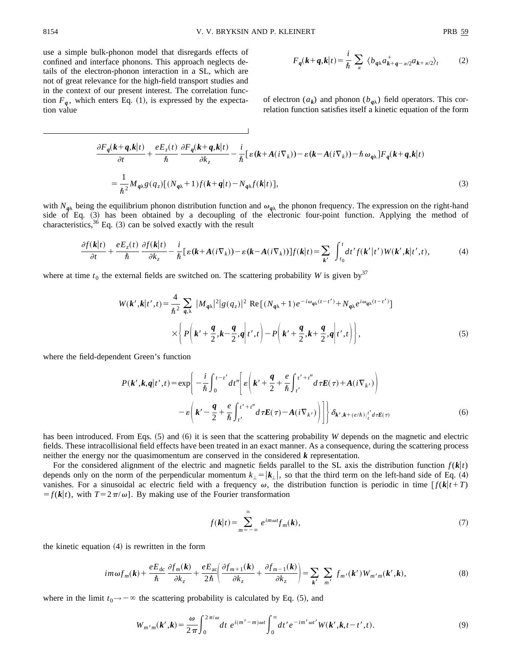use a simple bulk-phonon model that disregards effects of confined and interface phonons. This approach neglects details of the electron-phonon interaction in a SL, which are not of great relevance for the high-field transport studies and in the context of our present interest. The correlation function  $F_q$ , which enters Eq. (1), is expressed by the expectation value

$$
F_q(\mathbf{k} + \mathbf{q}, \mathbf{k}|t) = \frac{i}{\hbar} \sum_{\varkappa} \langle b_{q\lambda} a^+_{\mathbf{k} + \mathbf{q} - \varkappa/2} a_{\mathbf{k} + \varkappa/2} \rangle_t \tag{2}
$$

of electron  $(a_k)$  and phonon  $(b_{q\lambda})$  field operators. This correlation function satisfies itself a kinetic equation of the form

$$
\frac{\partial F_q(\mathbf{k} + \mathbf{q}, \mathbf{k}|t)}{\partial t} + \frac{e E_z(t)}{\hbar} \frac{\partial F_q(\mathbf{k} + \mathbf{q}, \mathbf{k}|t)}{\partial k_z} - \frac{i}{\hbar} \Big[ \varepsilon (\mathbf{k} + A(i\nabla_k)) - \varepsilon (\mathbf{k} - A(i\nabla_k)) - \hbar \omega_{q\lambda} \Big] F_q(\mathbf{k} + \mathbf{q}, \mathbf{k}|t)
$$
  
= 
$$
\frac{1}{\hbar^2} M_{q\lambda} g(q_z) \Big[ (N_{q\lambda} + 1) f(\mathbf{k} + \mathbf{q}|t) - N_{q\lambda} f(\mathbf{k}|t) \Big],
$$
 (3)

with  $N_{q\lambda}$  being the equilibrium phonon distribution function and  $\omega_{q\lambda}$  the phonon frequency. The expression on the right-hand side of Eq. (3) has been obtained by a decoupling of the electronic four-point function. Applying the method of characteristics,  $36$  Eq. (3) can be solved exactly with the result

$$
\frac{\partial f(\mathbf{k}|t)}{\partial t} + \frac{eE_z(t)}{\hbar} \frac{\partial f(\mathbf{k}|t)}{\partial k_z} - \frac{i}{\hbar} \Big[ \varepsilon (\mathbf{k} + A(i\nabla_k)) - \varepsilon (\mathbf{k} - A(i\nabla_k)) \Big] f(\mathbf{k}|t) = \sum_{\mathbf{k}'} \int_{t_0}^t dt' f(\mathbf{k}'|t') W(\mathbf{k}', \mathbf{k}|t', t), \tag{4}
$$

where at time  $t_0$  the external fields are switched on. The scattering probability *W* is given by<sup>37</sup>

$$
W(\boldsymbol{k}', \boldsymbol{k}|t', t) = \frac{4}{\hbar^2} \sum_{q, \lambda} |M_{q\lambda}|^2 |g(q_z)|^2 \operatorname{Re}[(N_{q\lambda} + 1)e^{-i\omega_{q\lambda}(t - t')} + N_{q\lambda}e^{i\omega_{q\lambda}(t - t')}]\n\times \left\{ P\left(\boldsymbol{k}' + \frac{q}{2}, \boldsymbol{k} - \frac{q}{2}, q\middle| t', t \right) - P\left(\boldsymbol{k}' + \frac{q}{2}, \boldsymbol{k} + \frac{q}{2}, q\middle| t', t \right) \right\},
$$
\n(5)

where the field-dependent Green's function

$$
P(\mathbf{k}', \mathbf{k}, \mathbf{q}|t', t) = \exp\left\{-\frac{i}{\hbar} \int_0^{t-t'} dt'' \left[\varepsilon \left(\mathbf{k}' + \frac{\mathbf{q}}{2} + \frac{e}{\hbar} \int_{t'}^{t'+t''} d\tau \mathbf{E}(\tau) + A(i \nabla_{k'})\right) - \varepsilon \left(\mathbf{k}' - \frac{\mathbf{q}}{2} + \frac{e}{\hbar} \int_{t'}^{t'+t''} d\tau \mathbf{E}(\tau) - A(i \nabla_{k'})\right)\right]\right\} \delta_{\mathbf{k}', \mathbf{k} + (e/\hbar) \int_t^{t'} d\tau \mathbf{E}(\tau)}
$$
(6)

has been introduced. From Eqs. (5) and (6) it is seen that the scattering probability *W* depends on the magnetic and electric fields. These intracollisional field effects have been treated in an exact manner. As a consequence, during the scattering process neither the energy nor the quasimomentum are conserved in the considered  $\boldsymbol{k}$  representation.

For the considered alignment of the electric and magnetic fields parallel to the SL axis the distribution function  $f(k|t)$ depends only on the norm of the perpendicular momentum  $k_{\perp} = |k_{\perp}|$ , so that the third term on the left-hand side of Eq. (4) vanishes. For a sinusoidal ac electric field with a frequency  $\omega$ , the distribution function is periodic in time  $[f(\mathbf{k}|t+T)]$  $f(f(\mathbf{k}|t))$ , with  $T=2\pi/\omega$ . By making use of the Fourier transformation

$$
f(\mathbf{k}|t) = \sum_{m=-\infty}^{\infty} e^{im\omega t} f_m(\mathbf{k}),\tag{7}
$$

the kinetic equation  $(4)$  is rewritten in the form

$$
im\omega f_m(\boldsymbol{k}) + \frac{eE_{dc}}{\hbar} \frac{\partial f_m(\boldsymbol{k})}{\partial k_z} + \frac{eE_{ac}}{2\hbar} \left( \frac{\partial f_{m+1}(\boldsymbol{k})}{\partial k_z} + \frac{\partial f_{m-1}(\boldsymbol{k})}{\partial k_z} \right) = \sum_{\boldsymbol{k}'} \sum_{m'} f_{m'}(\boldsymbol{k}') W_{m'm}(\boldsymbol{k}',\boldsymbol{k}), \tag{8}
$$

where in the limit  $t_0 \rightarrow -\infty$  the scattering probability is calculated by Eq. (5), and

$$
W_{m'm}(\boldsymbol{k}',\boldsymbol{k}) = \frac{\omega}{2\pi} \int_0^{2\pi/\omega} dt \ e^{i(m'-m)\omega t} \int_0^{\infty} dt' e^{-im'\omega t'} W(\boldsymbol{k}',\boldsymbol{k},t-t',t). \tag{9}
$$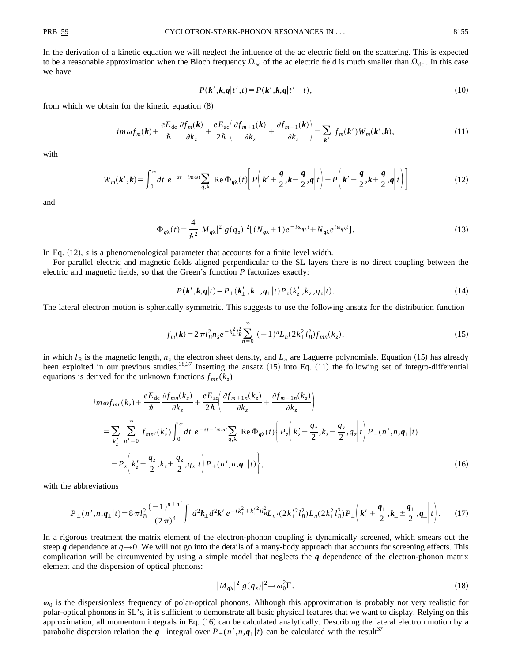In the derivation of a kinetic equation we will neglect the influence of the ac electric field on the scattering. This is expected to be a reasonable approximation when the Bloch frequency  $\Omega_{ac}$  of the ac electric field is much smaller than  $\Omega_{dc}$ . In this case we have

$$
P(k',k,q|t',t) = P(k',k,q|t'-t),
$$
\n(10)

from which we obtain for the kinetic equation  $(8)$ 

$$
im\omega f_m(\boldsymbol{k}) + \frac{eE_{dc}}{\hbar} \frac{\partial f_m(\boldsymbol{k})}{\partial k_z} + \frac{eE_{ac}}{2\hbar} \left( \frac{\partial f_{m+1}(\boldsymbol{k})}{\partial k_z} + \frac{\partial f_{m-1}(\boldsymbol{k})}{\partial k_z} \right) = \sum_{\boldsymbol{k}'} f_m(\boldsymbol{k}') W_m(\boldsymbol{k}', \boldsymbol{k}), \tag{11}
$$

with

$$
W_m(\mathbf{k}',\mathbf{k}) = \int_0^\infty dt \ e^{-st - im\omega t} \sum_{q,\lambda} \text{Re } \Phi_{q\lambda}(t) \left[ P\left(\mathbf{k}' + \frac{q}{2}, \mathbf{k} - \frac{q}{2}, q \middle| t \right) - P\left(\mathbf{k}' + \frac{q}{2}, \mathbf{k} + \frac{q}{2}, q \middle| t \right) \right]
$$
(12)

and

$$
\Phi_{q\lambda}(t) = \frac{4}{\hbar^2} |M_{q\lambda}|^2 |g(q_z)|^2 [(N_{q\lambda} + 1)e^{-i\omega_{q\lambda}t} + N_{q\lambda}e^{i\omega_{q\lambda}t}].
$$
\n(13)

In Eq. (12), *s* is a phenomenological parameter that accounts for a finite level width.

For parallel electric and magnetic fields aligned perpendicular to the SL layers there is no direct coupling between the electric and magnetic fields, so that the Green's function *P* factorizes exactly:

$$
P(\mathbf{k}', \mathbf{k}, \mathbf{q}|t) = P_{\perp}(\mathbf{k}'_{\perp}, \mathbf{k}_{\perp}, \mathbf{q}_{\perp}|t) P_{z}(k'_{z}, k_{z}, q_{z}|t). \tag{14}
$$

The lateral electron motion is spherically symmetric. This suggests to use the following ansatz for the distribution function

$$
f_m(\mathbf{k}) = 2\pi l_B^2 n_s e^{-k_\perp^2 l_B^2} \sum_{n=0}^{\infty} (-1)^n L_n (2k_\perp^2 l_B^2) f_{mn}(k_z), \qquad (15)
$$

in which  $l_B$  is the magnetic length,  $n_s$  the electron sheet density, and  $L_n$  are Laguerre polynomials. Equation (15) has already been exploited in our previous studies.<sup>38,37</sup> Inserting the ansatz  $(15)$  into Eq.  $(11)$  the following set of integro-differential equations is derived for the unknown functions  $f_{mn}(k_z)$ 

$$
im\omega f_{mn}(k_z) + \frac{eE_{dc}}{\hbar} \frac{\partial f_{mn}(k_z)}{\partial k_z} + \frac{eE_{ac}}{2\hbar} \left( \frac{\partial f_{m+1n}(k_z)}{\partial k_z} + \frac{\partial f_{m-1n}(k_z)}{\partial k_z} \right)
$$
  
\n
$$
= \sum_{k'_z} \sum_{n'=0}^{\infty} f_{mn'}(k'_z) \int_0^{\infty} dt \ e^{-st - im\omega t} \sum_{q,\lambda} \text{Re } \Phi_{q\lambda}(t) \left\{ P_z \left( k'_z + \frac{q_z}{2}, k_z - \frac{q_z}{2}, q_z \middle| t \right) P_-(n', n, q_\perp | t) \right. \\ \left. - P_z \left( k'_z + \frac{q_z}{2}, k_z + \frac{q_z}{2}, q_z \middle| t \right) P_+(n', n, q_\perp | t) \right\}, \tag{16}
$$

with the abbreviations

$$
P_{\pm}(n',n,\mathbf{q}_{\perp}|t) = 8\pi l_B^2 \frac{(-1)^{n+n'}}{(2\pi)^4} \int d^2\mathbf{k}_{\perp} d^2\mathbf{k}_{\perp}^{\prime} e^{-(k_{\perp}^2 + k_{\perp}^{\prime 2})l_B^2} L_{n'} (2k_{\perp}^{\prime 2} l_B^2) L_n (2k_{\perp}^2 l_B^2) P_{\perp} \left(\mathbf{k}_{\perp}^{\prime} + \frac{\mathbf{q}_{\perp}}{2}, \mathbf{k}_{\perp} \pm \frac{\mathbf{q}_{\perp}}{2}, \mathbf{q}_{\perp} \right) \tag{17}
$$

In a rigorous treatment the matrix element of the electron-phonon coupling is dynamically screened, which smears out the steep *q* dependence at  $q \rightarrow 0$ . We will not go into the details of a many-body approach that accounts for screening effects. This complication will be circumvented by using a simple model that neglects the *q* dependence of the electron-phonon matrix element and the dispersion of optical phonons:

$$
|M_{q\lambda}|^2|g(q_z)|^2 \rightarrow \omega_0^2 \Gamma. \tag{18}
$$

 $\omega_0$  is the dispersionless frequency of polar-optical phonons. Although this approximation is probably not very realistic for polar-optical phonons in SL's, it is sufficient to demonstrate all basic physical features that we want to display. Relying on this approximation, all momentum integrals in Eq.  $(16)$  can be calculated analytically. Describing the lateral electron motion by a parabolic dispersion relation the  $q_{\perp}$  integral over  $P_{\pm}(n',n,q_{\perp}|t)$  can be calculated with the result<sup>37</sup>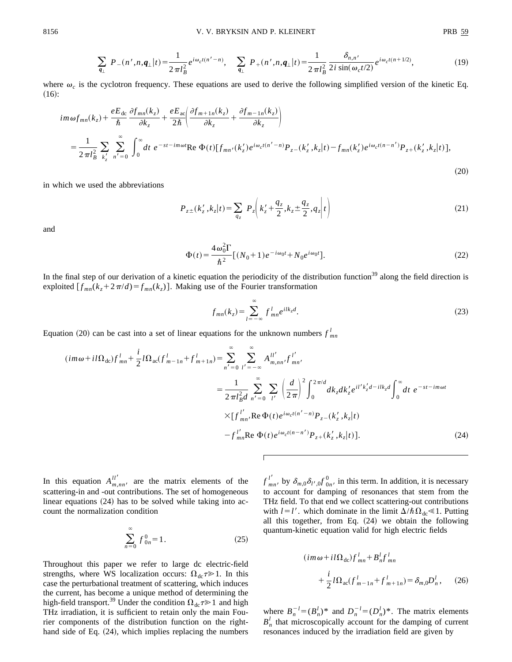$$
\sum_{q_{\perp}} P_{-}(n', n, q_{\perp}|t) = \frac{1}{2 \pi l_B^2} e^{i\omega_c t (n'-n)}, \quad \sum_{q_{\perp}} P_{+}(n', n, q_{\perp}|t) = \frac{1}{2 \pi l_B^2} \frac{\delta_{n, n'}}{2 i \sin(\omega_c t/2)} e^{i\omega_c t (n+1/2)}, \tag{19}
$$

where  $\omega_c$  is the cyclotron frequency. These equations are used to derive the following simplified version of the kinetic Eq.  $(16):$ 

$$
im\omega f_{mn}(k_z) + \frac{eE_{dc}}{\hbar} \frac{\partial f_{mn}(k_z)}{\partial k_z} + \frac{eE_{ac}}{2\hbar} \left( \frac{\partial f_{m+1n}(k_z)}{\partial k_z} + \frac{\partial f_{m-1n}(k_z)}{\partial k_z} \right)
$$
  

$$
= \frac{1}{2\pi l_B^2} \sum_{k'_z} \sum_{n'=0}^{\infty} \int_0^{\infty} dt \ e^{-st - im\omega t} \text{Re } \Phi(t) [f_{mn'}(k'_z) e^{i\omega_c t(n'-n)} P_{z-}(k'_z, k_z|t) - f_{mn}(k'_z) e^{i\omega_c t(n'-n')} P_{z+}(k'_z, k_z|t)],
$$
\n(20)

in which we used the abbreviations

$$
P_{z\pm}(k'_z, k_z|t) = \sum_{q_z} P_z \left( k'_z + \frac{q_z}{2}, k_z + \frac{q_z}{2}, q_z \middle| t \right)
$$
 (21)

and

$$
\Phi(t) = \frac{4\omega_0^2 \Gamma}{\hbar^2} [(N_0 + 1)e^{-i\omega_0 t} + N_0 e^{i\omega_0 t}].
$$
\n(22)

In the final step of our derivation of a kinetic equation the periodicity of the distribution function<sup>39</sup> along the field direction is exploited  $[f_{mn}(k_z+2\pi/d) = f_{mn}(k_z)]$ . Making use of the Fourier transformation

$$
f_{mn}(k_z) = \sum_{l=-\infty}^{\infty} f_{mn}^l e^{ilk_z d}.
$$
 (23)

Equation (20) can be cast into a set of linear equations for the unknown numbers  $f_{mn}^l$ 

$$
(im\omega + il\Omega_{dc})f_{mn}^{l} + \frac{i}{2}l\Omega_{ac}(f_{m-1n}^{l} + f_{m+1n}^{l}) = \sum_{n'=0}^{\infty} \sum_{l'= -\infty}^{\infty} A_{m,nn'}^{ll'} f_{mn'}^{l'}
$$
  

$$
= \frac{1}{2\pi l_B^2 d} \sum_{n'=0}^{\infty} \sum_{l'} \left(\frac{d}{2\pi}\right)^2 \int_0^{2\pi/d} dk_z dk'_z e^{il'k'_z d - ilk_z d} \int_0^{\infty} dt e^{-st - im\omega t}
$$
  

$$
\times [f_{mn'}^{l'} \text{Re }\Phi(t) e^{i\omega_c t(n'-n)} P_{z-}(k'_z, k_z | t)
$$

$$
-f_{mn}^{l'} \text{Re }\Phi(t) e^{i\omega_c t(n-n')} P_{z+}(k'_z, k_z | t)]. \tag{24}
$$

Г

In this equation  $A^{ll'}_{m,nn'}$  are the matrix elements of the scattering-in and -out contributions. The set of homogeneous linear equations  $(24)$  has to be solved while taking into account the normalization condition

$$
\sum_{n=0}^{\infty} f_{0n}^{0} = 1.
$$
 (25)

Throughout this paper we refer to large dc electric-field strengths, where WS localization occurs:  $\Omega_{dc} \tau \ge 1$ . In this case the perturbational treatment of scattering, which induces the current, has become a unique method of determining the high-field transport.<sup>39</sup> Under the condition  $\Omega_{dc} \tau \ge 1$  and high THz irradiation, it is sufficient to retain only the main Fourier components of the distribution function on the righthand side of Eq.  $(24)$ , which implies replacing the numbers

 $f'_{mn}$ , by  $\delta_{m,0}\delta_{l',0}f_{0n'}^0$  in this term. In addition, it is necessary to account for damping of resonances that stem from the THz field. To that end we collect scattering-out contributions with  $l = l'$ . which dominate in the limit  $\Delta/\hbar \Omega_{\text{dc}} \le 1$ . Putting all this together, from Eq.  $(24)$  we obtain the following quantum-kinetic equation valid for high electric fields

$$
(im\omega + i l\Omega_{dc})f^{l}_{mn} + B^{l}_{n}f^{l}_{mn} + \frac{i}{2}l\Omega_{ac}(f^{l}_{m-1} + f^{l}_{m+1} - \delta_{m,0}D^{l}_{n}, \qquad (26)
$$

where  $B_n^{-1} = (B_n^l)^*$  and  $D_n^{-1} = (D_n^l)^*$ . The matrix elements  $B_n^l$  that microscopically account for the damping of current resonances induced by the irradiation field are given by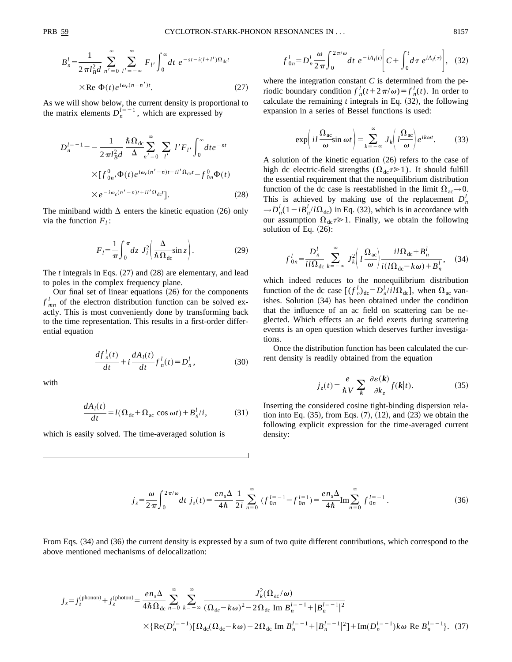$$
B_n^l = \frac{1}{2\pi l_B^2 d} \sum_{n'=0}^{\infty} \sum_{l'=-\infty}^{\infty} F_{l'} \int_0^{\infty} dt \ e^{-st - i(l+l')\Omega_{\text{dc}^t}}
$$
  
× Re  $\Phi(t) e^{i\omega_c (n-n')t}$ . (27)

As we will show below, the current density is proportional to the matrix elements  $D_n^{l=-1}$ , which are expressed by

$$
D_n^{l=-1} = -\frac{1}{2\pi l_B^2 d} \frac{\hbar \Omega_{dc}}{\Delta} \sum_{n'=0}^{\infty} \sum_{l'} l' F_{l'} \int_0^{\infty} dt e^{-st}
$$
  
×[ $f_{0n}^0, \Phi(t) e^{i\omega_c (n'-n)t - il'} \Omega_{dc} t - f_{0n}^0 \Phi(t)$   
× $e^{-i\omega_c (n'-n)t + il'} \Omega_{dc} t$ ]. (28)

The miniband width  $\Delta$  enters the kinetic equation (26) only via the function  $F_l$ :

$$
F_l = \frac{1}{\pi} \int_0^{\pi} dz \ J_l^2 \left( \frac{\Delta}{\hbar \Omega_{\rm dc}} \sin z \right). \tag{29}
$$

The  $t$  integrals in Eqs.  $(27)$  and  $(28)$  are elementary, and lead to poles in the complex frequency plane.

Our final set of linear equations  $(26)$  for the components  $f_{mn}^l$  of the electron distribution function can be solved exactly. This is most conveniently done by transforming back to the time representation. This results in a first-order differential equation

$$
\frac{df_n^l(t)}{dt} + i \frac{dA_l(t)}{dt} f_n^l(t) = D_n^l,
$$
\n(30)

with

$$
\frac{dA_l(t)}{dt} = l(\Omega_{dc} + \Omega_{ac} \cos \omega t) + B_n^l/i, \tag{31}
$$

which is easily solved. The time-averaged solution is

$$
f_{0n}^{l} = D_n^l \frac{\omega}{2\pi} \int_0^{2\pi/\omega} dt \ e^{-iA_l(t)} \Bigg[ C + \int_0^t d\tau \ e^{iA_l(\tau)} \Bigg], \quad (32)
$$

where the integration constant  $C$  is determined from the periodic boundary condition  $f_n^l(t+2\pi/\omega) = f_n^l(t)$ . In order to calculate the remaining  $t$  integrals in Eq.  $(32)$ , the following expansion in a series of Bessel functions is used:

$$
\exp\left(it\frac{\Omega_{ac}}{\omega}\sin\omega t\right) = \sum_{k=-\infty}^{\infty} J_k\left(t\frac{\Omega_{ac}}{\omega}\right)e^{ik\omega t}.\tag{33}
$$

A solution of the kinetic equation  $(26)$  refers to the case of high dc electric-field strengths  $(\Omega_{dc} \tau \ge 1)$ . It should fulfill the essential requirement that the nonequilibrium distribution function of the dc case is reestablished in the limit  $\Omega_{ac}\rightarrow 0$ . This is achieved by making use of the replacement  $D_n^l$  $\rightarrow D_n^l(1-iB_n^l/l\Omega_{\rm dc})$  in Eq. (32), which is in accordance with our assumption  $\Omega_{dc} \neq 1$ . Finally, we obtain the following solution of Eq.  $(26)$ :

$$
f_{0n}^{l} = \frac{D_n^l}{i l \Omega_{\text{dc}}} \sum_{k=-\infty}^{\infty} J_k^2 \left( l \frac{\Omega_{\text{ac}}}{\omega} \right) \frac{i l \Omega_{\text{dc}} + B_n^l}{i (l \Omega_{\text{dc}} - k \omega) + B_n^l}, \quad (34)
$$

which indeed reduces to the nonequilibrium distribution function of the dc case  $[(f_n^l)_{dc} = D_n^l/iI\Omega_{dc}]$ , when  $\Omega_{ac}$  van $i$ shes. Solution  $(34)$  has been obtained under the condition that the influence of an ac field on scattering can be neglected. Which effects an ac field exerts during scattering events is an open question which deserves further investigations.

Once the distribution function has been calculated the current density is readily obtained from the equation

$$
j_z(t) = \frac{e}{\hbar V} \sum_{\mathbf{k}} \frac{\partial \varepsilon(\mathbf{k})}{\partial k_z} f(\mathbf{k}|t). \tag{35}
$$

Inserting the considered cosine tight-binding dispersion relation into Eq.  $(35)$ , from Eqs.  $(7)$ ,  $(12)$ , and  $(23)$  we obtain the following explicit expression for the time-averaged current density:

$$
j_z = \frac{\omega}{2\pi} \int_0^{2\pi/\omega} dt \ j_z(t) = \frac{en_s \Delta}{4\hbar} \frac{1}{2i} \sum_{n=0}^{\infty} (f_{0n}^{l=-1} - f_{0n}^{l=1}) = \frac{en_s \Delta}{4\hbar} \text{Im} \sum_{n=0}^{\infty} f_{0n}^{l=-1}.
$$
 (36)

From Eqs. (34) and (36) the current density is expressed by a sum of two quite different contributions, which correspond to the above mentioned mechanisms of delocalization:

$$
j_{z} = j_{z}^{(\text{phonon})} + j_{z}^{(\text{photon})} = \frac{en_{s}\Delta}{4\hbar\,\Omega_{\text{dc}}} \sum_{n=0}^{\infty} \sum_{k=-\infty}^{\infty} \frac{J_{k}^{2}(\Omega_{\text{ac}}/\omega)}{(\Omega_{\text{dc}} - k\omega)^{2} - 2\Omega_{\text{dc}} \text{ Im } B_{n}^{l=-1} + |B_{n}^{l=-1}|^{2}} \times \{ \text{Re}(D_{n}^{l=-1})[\Omega_{\text{dc}}(\Omega_{\text{dc}} - k\omega) - 2\Omega_{\text{dc}} \text{ Im } B_{n}^{l=-1} + |B_{n}^{l=-1}|^{2} \} + \text{Im}(D_{n}^{l=-1})k\omega \text{ Re } B_{n}^{l=-1} \}.
$$
 (37)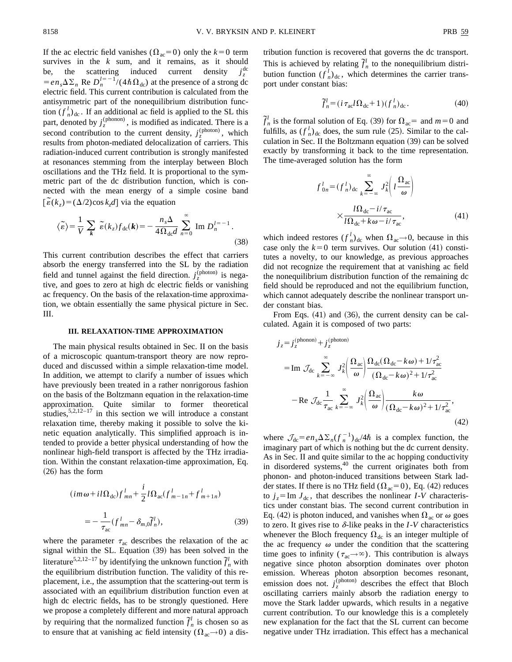If the ac electric field vanishes  $(\Omega_{ac}=0)$  only the  $k=0$  term survives in the *k* sum, and it remains, as it should be, the scattering induced current density  $j_z^{\text{dc}}$  $= e n_s \Delta \Sigma_n$  Re  $D_n^{l=1}/(4\hbar \Omega_{dc})$  at the presence of a strong dc electric field. This current contribution is calculated from the antisymmetric part of the nonequilibrium distribution function  $(f_n^l)_{\text{dc}}$ . If an additional ac field is applied to the SL this part, denoted by  $j_z^{\text{(phonon)}}$ , is modified as indicated. There is a second contribution to the current density,  $j_z^{(photon)}$ , which results from photon-mediated delocalization of carriers. This radiation-induced current contribution is strongly manifested at resonances stemming from the interplay between Bloch oscillations and the THz field. It is proportional to the symmetric part of the dc distribution function, which is connected with the mean energy of a simple cosine band  $\overline{[E(k_z)=(\Delta/2)\cos k_z d]}$  via the equation

$$
\langle \tilde{\varepsilon} \rangle = \frac{1}{V} \sum_{k} \tilde{\varepsilon}(k_z) f_{\text{dc}}(k) = -\frac{n_s \Delta}{4 \Omega_{\text{dc}} d} \sum_{n=0}^{\infty} \text{Im } D_n^{l=-1}.
$$
\n(38)

This current contribution describes the effect that carriers absorb the energy transferred into the SL by the radiation field and tunnel against the field direction.  $j_z^{(photon)}$  is negative, and goes to zero at high dc electric fields or vanishing ac frequency. On the basis of the relaxation-time approximation, we obtain essentially the same physical picture in Sec. III.

# **III. RELAXATION-TIME APPROXIMATION**

The main physical results obtained in Sec. II on the basis of a microscopic quantum-transport theory are now reproduced and discussed within a simple relaxation-time model. In addition, we attempt to clarify a number of issues which have previously been treated in a rather nonrigorous fashion on the basis of the Boltzmann equation in the relaxation-time approximation. Quite similar to former theoretical studies,  $5,2,12-17$  in this section we will introduce a constant relaxation time, thereby making it possible to solve the kinetic equation analytically. This simplified approach is intended to provide a better physical understanding of how the nonlinear high-field transport is affected by the THz irradiation. Within the constant relaxation-time approximation, Eq.  $(26)$  has the form

$$
(im\omega + il\Omega_{dc})f_{mn}^l + \frac{i}{2}l\Omega_{ac}(f_{m-1n}^l + f_{m+1n}^l)
$$
  
= 
$$
-\frac{1}{\tau_{ac}}(f_{mn}^l - \delta_{m,0}\tilde{f}_n^l),
$$
 (39)

where the parameter  $\tau_{ac}$  describes the relaxation of the ac signal within the SL. Equation  $(39)$  has been solved in the literature<sup>5,2,12–17</sup> by identifying the unknown function  $\tilde{f}^l$  with the equilibrium distribution function. The validity of this replacement, i.e., the assumption that the scattering-out term is associated with an equilibrium distribution function even at high dc electric fields, has to be strongly questioned. Here we propose a completely different and more natural approach by requiring that the normalized function  $\tilde{f}^l_n$  is chosen so as to ensure that at vanishing ac field intensity ( $\Omega_{ac} \rightarrow 0$ ) a distribution function is recovered that governs the dc transport. This is achieved by relating  $\tilde{f}_n^l$  to the nonequilibrium distribution function  $(f_n^l)_{dc}$ , which determines the carrier transport under constant bias:

$$
\tilde{f}_n^l = (i \tau_{\rm ac} l \Omega_{\rm dc} + 1) (f_n^l)_{\rm dc}.
$$
\n(40)

 $\tilde{f}_n^l$  is the formal solution of Eq. (39) for  $\Omega_{ac}$  and  $m=0$  and fulfills, as  $(f_n^l)_{dc}$  does, the sum rule (25). Similar to the calculation in Sec. II the Boltzmann equation  $(39)$  can be solved exactly by transforming it back to the time representation. The time-averaged solution has the form

$$
f_{0n}^{l} = (f_{n}^{l})_{\text{dc}} \sum_{k=-\infty}^{\infty} J_{k}^{2} \left( l \frac{\Omega_{\text{ac}}}{\omega} \right)
$$

$$
\times \frac{l \Omega_{\text{dc}} - i/\tau_{\text{ac}}}{l \Omega_{\text{dc}} + k \omega - i/\tau_{\text{ac}}}, \qquad (41)
$$

which indeed restores  $(f_n^l)_{\text{dc}}$  when  $\Omega_{\text{ac}} \to 0$ , because in this case only the  $k=0$  term survives. Our solution (41) constitutes a novelty, to our knowledge, as previous approaches did not recognize the requirement that at vanishing ac field the nonequilibrium distribution function of the remaining dc field should be reproduced and not the equilibrium function, which cannot adequately describe the nonlinear transport under constant bias.

From Eqs.  $(41)$  and  $(36)$ , the current density can be calculated. Again it is composed of two parts:

$$
j_z = j_z^{\text{(phonon)}} + j_z^{\text{(photon)}}
$$
  
= Im  $\mathcal{J}_{dc} \sum_{k=-\infty}^{\infty} J_k^2 \left( \frac{\Omega_{ac}}{\omega} \right) \frac{\Omega_{dc} (\Omega_{dc} - k\omega) + 1/\tau_{ac}^2}{(\Omega_{dc} - k\omega)^2 + 1/\tau_{ac}^2}$   
- Re  $\mathcal{J}_{dc} \frac{1}{\tau_{ac}} \sum_{k=-\infty}^{\infty} J_k^2 \left( \frac{\Omega_{ac}}{\omega} \right) \frac{k\omega}{(\Omega_{dc} - k\omega)^2 + 1/\tau_{ac}^2}$ , (42)

where  $\mathcal{J}_{dc} = en_s \Delta \Sigma_n (f_n^{-1})_{dc} / 4\hbar$  is a complex function, the imaginary part of which is nothing but the dc current density. As in Sec. II and quite similar to the ac hopping conductivity in disordered systems,<sup>40</sup> the current originates both from phonon- and photon-induced transitions between Stark ladder states. If there is no THz field  $(\Omega_{ac}=0)$ , Eq. (42) reduces to  $j_z = \text{Im } J_{dc}$ , that describes the nonlinear *I*-*V* characteristics under constant bias. The second current contribution in Eq. (42) is photon induced, and vanishes when  $\Omega_{ac}$  or  $\omega$  goes to zero. It gives rise to  $\delta$ -like peaks in the *I*-*V* characteristics whenever the Bloch frequency  $\Omega_{dc}$  is an integer multiple of the ac frequency  $\omega$  under the condition that the scattering time goes to infinity ( $\tau_{ac} \rightarrow \infty$ ). This contribution is always negative since photon absorption dominates over photon emission. Whereas photon absorption becomes resonant, emission does not.  $j_z^{\text{(photon)}}$  describes the effect that Bloch oscillating carriers mainly absorb the radiation energy to move the Stark ladder upwards, which results in a negative current contribution. To our knowledge this is a completely new explanation for the fact that the SL current can become negative under THz irradiation. This effect has a mechanical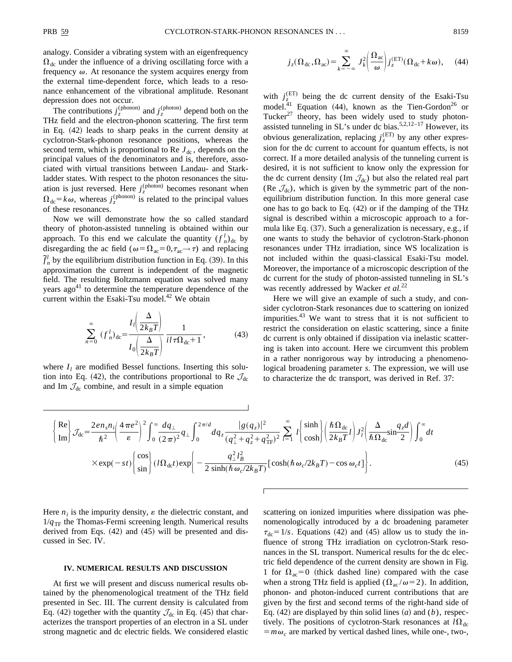analogy. Consider a vibrating system with an eigenfrequency  $\Omega_{\text{dc}}$  under the influence of a driving oscillating force with a frequency  $\omega$ . At resonance the system acquires energy from the external time-dependent force, which leads to a resonance enhancement of the vibrational amplitude. Resonant depression does not occur.

The contributions  $j_z^{(phonon)}$  and  $j_z^{(photon)}$  depend both on the THz field and the electron-phonon scattering. The first term in Eq.  $(42)$  leads to sharp peaks in the current density at cyclotron-Stark-phonon resonance positions, whereas the second term, which is proportional to Re  $J_{dc}$ , depends on the principal values of the denominators and is, therefore, associated with virtual transitions between Landau- and Starkladder states. With respect to the photon resonances the situation is just reversed. Here  $j_z^{(photon)}$  becomes resonant when  $\Omega_{\text{dc}} = k\omega$ , whereas  $j_z^{\text{(phonon)}}$  is related to the principal values of these resonances.

Now we will demonstrate how the so called standard theory of photon-assisted tunneling is obtained within our approach. To this end we calculate the quantity  $(f_n^l)_{dc}$  by disregarding the ac field ( $\omega = \Omega_{ac} = 0, \tau_{ac} \rightarrow \tau$ ) and replacing  $\tilde{f}^{\prime\prime}$  by the equilibrium distribution function in Eq. (39). In this approximation the current is independent of the magnetic field. The resulting Boltzmann equation was solved many years  $ago^{41}$  to determine the temperature dependence of the current within the Esaki-Tsu model.<sup>42</sup> We obtain

$$
\sum_{n=0}^{\infty} (f_n^l)_{\text{dc}} = \frac{I_l\left(\frac{\Delta}{2k_B T}\right)}{I_0\left(\frac{\Delta}{2k_B T}\right)} \frac{1}{i l \tau \Omega_{\text{dc}} + 1},\tag{43}
$$

where  $I_l$  are modified Bessel functions. Inserting this solution into Eq. (42), the contributions proportional to Re  $\mathcal{J}_{dc}$ and Im  $\mathcal{J}_{dc}$  combine, and result in a simple equation

$$
j_z(\Omega_{\rm dc}, \Omega_{\rm ac}) = \sum_{k=-\infty}^{\infty} J_k^2 \left( \frac{\Omega_{\rm ac}}{\omega} \right) j_z^{\rm (ET)}(\Omega_{\rm dc} + k\omega), \quad (44)
$$

with  $j_z^{\text{(ET)}}$  being the dc current density of the Esaki-Tsu model.<sup>41</sup> Equation (44), known as the Tien-Gordon<sup>26</sup> or Tucker $27$  theory, has been widely used to study photonassisted tunneling in SL's under dc bias.<sup>5,2,12–17</sup> However, its obvious generalization, replacing  $j_z^{\text{(ET)}}$  by any other expression for the dc current to account for quantum effects, is not correct. If a more detailed analysis of the tunneling current is desired, it is not sufficient to know only the expression for the dc current density (Im  $\mathcal{J}_{dc}$ ) but also the related real part (Re  $\mathcal{J}_{dc}$ ), which is given by the symmetric part of the nonequilibrium distribution function. In this more general case one has to go back to Eq.  $(42)$  or if the damping of the THz signal is described within a microscopic approach to a formula like Eq.  $(37)$ . Such a generalization is necessary, e.g., if one wants to study the behavior of cyclotron-Stark-phonon resonances under THz irradiation, since WS localization is not included within the quasi-classical Esaki-Tsu model. Moreover, the importance of a microscopic description of the dc current for the study of photon-assisted tunneling in SL's was recently addressed by Wacker *et al.*<sup>22</sup>

Here we will give an example of such a study, and consider cyclotron-Stark resonances due to scattering on ionized impurities. $43$  We want to stress that it is not sufficient to restrict the consideration on elastic scattering, since a finite dc current is only obtained if dissipation via inelastic scattering is taken into account. Here we circumvent this problem in a rather nonrigorous way by introducing a phenomenological broadening parameter *s*. The expression, we will use to characterize the dc transport, was derived in Ref. 37:

$$
\begin{split}\n\begin{Bmatrix}\n\text{Re} \\
\text{Im}\n\end{Bmatrix} \mathcal{J}_{dc} &= \frac{2en_s n_i}{\hbar^2} \left(\frac{4\pi e^2}{\varepsilon}\right)^2 \int_0^\infty \frac{dq_\perp}{(2\pi)^2} q_\perp \int_0^{2\pi/d} dq_z \frac{|g(q_z)|^2}{(q_\perp^2 + q_z^2 + q_{\text{TF}}^2)^2} \sum_{l=1}^\infty l \begin{Bmatrix}\n\sinh \\
\cosh\n\end{Bmatrix} \left(\frac{\hbar \Omega_{dc}}{2k_B T}l\right) J_l^2 \left(\frac{\Delta}{\hbar \Omega_{dc}} \sin \frac{q_z d}{2}\right) \int_0^\infty dt \\
&\times \exp(-st) \begin{Bmatrix}\n\cos \\
\sin\n\end{Bmatrix} (l \Omega_{dc} t) \exp\left\{-\frac{q_\perp^2 l_B^2}{2 \sinh(\hbar \omega_c / 2k_B T)} [\cosh(\hbar \omega_c / 2k_B T) - \cos \omega_c t]\right\}.\n\end{split} \tag{45}
$$

Here  $n_i$  is the impurity density,  $\varepsilon$  the dielectric constant, and  $1/q<sub>TF</sub>$  the Thomas-Fermi screening length. Numerical results derived from Eqs.  $(42)$  and  $(45)$  will be presented and discussed in Sec. IV.

#### **IV. NUMERICAL RESULTS AND DISCUSSION**

At first we will present and discuss numerical results obtained by the phenomenological treatment of the THz field presented in Sec. III. The current density is calculated from Eq. (42) together with the quantity  $\mathcal{J}_{dc}$  in Eq. (45) that characterizes the transport properties of an electron in a SL under strong magnetic and dc electric fields. We considered elastic scattering on ionized impurities where dissipation was phenomenologically introduced by a dc broadening parameter  $\tau_{\text{dc}} = 1/s$ . Equations (42) and (45) allow us to study the influence of strong THz irradiation on cyclotron-Stark resonances in the SL transport. Numerical results for the dc electric field dependence of the current density are shown in Fig. 1 for  $\Omega_{ac}$ =0 (thick dashed line) compared with the case when a strong THz field is applied ( $\Omega_{ac}/\omega=2$ ). In addition, phonon- and photon-induced current contributions that are given by the first and second terms of the right-hand side of Eq.  $(42)$  are displayed by thin solid lines  $(a)$  and  $(b)$ , respectively. The positions of cyclotron-Stark resonances at  $l\Omega_{dc}$  $= m \omega_c$  are marked by vertical dashed lines, while one-, two-,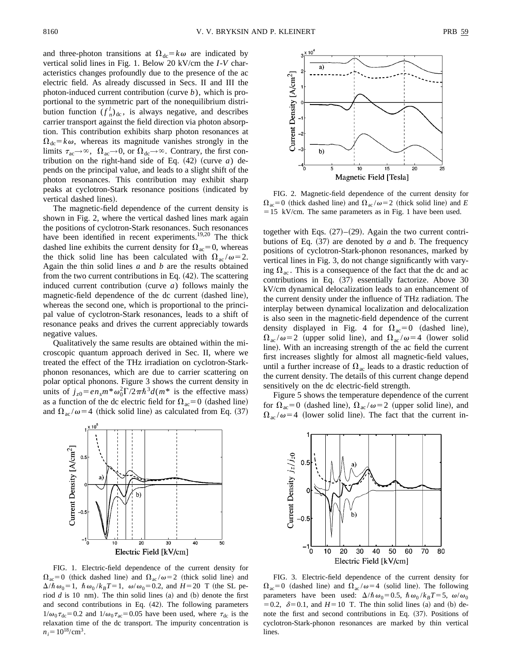and three-photon transitions at  $\Omega_{dc} = k\omega$  are indicated by vertical solid lines in Fig. 1. Below 20 kV/cm the *I*-*V* characteristics changes profoundly due to the presence of the ac electric field. As already discussed in Secs. II and III the photon-induced current contribution (curve  $b$ ), which is proportional to the symmetric part of the nonequilibrium distribution function  $(f_n^l)_{\text{dc}}$ , is always negative, and describes carrier transport against the field direction via photon absorption. This contribution exhibits sharp photon resonances at  $\Omega_{dc} = k\omega$ , whereas its magnitude vanishes strongly in the limits  $\tau_{ac} \rightarrow \infty$ ,  $\Omega_{ac} \rightarrow 0$ , or  $\Omega_{dc} \rightarrow \infty$ . Contrary, the first contribution on the right-hand side of Eq.  $(42)$  (curve *a*) depends on the principal value, and leads to a slight shift of the photon resonances. This contribution may exhibit sharp peaks at cyclotron-Stark resonance positions (indicated by vertical dashed lines).

The magnetic-field dependence of the current density is shown in Fig. 2, where the vertical dashed lines mark again the positions of cyclotron-Stark resonances. Such resonances have been identified in recent experiments.<sup>19,20</sup> The thick dashed line exhibits the current density for  $\Omega_{ac} = 0$ , whereas the thick solid line has been calculated with  $\Omega_{ac}/\omega=2$ . Again the thin solid lines *a* and *b* are the results obtained from the two current contributions in Eq.  $(42)$ . The scattering induced current contribution (curve  $a$ ) follows mainly the magnetic-field dependence of the dc current (dashed line), whereas the second one, which is proportional to the principal value of cyclotron-Stark resonances, leads to a shift of resonance peaks and drives the current appreciably towards negative values.

Qualitatively the same results are obtained within the microscopic quantum approach derived in Sec. II, where we treated the effect of the THz irradiation on cyclotron-Starkphonon resonances, which are due to carrier scattering on polar optical phonons. Figure 3 shows the current density in units of  $j_{z0} = e n_s m^* \omega_0^2 \Gamma / 2 \pi \hbar^3 d(m^*$  is the effective mass) as a function of the dc electric field for  $\Omega_{ac} = 0$  (dashed line) and  $\Omega_{ac}/\omega$ =4 (thick solid line) as calculated from Eq. (37)



FIG. 1. Electric-field dependence of the current density for  $\Omega_{ac}$ =0 (thick dashed line) and  $\Omega_{ac}/\omega$ =2 (thick solid line) and  $\Delta/\hbar \omega_0 = 1$ ,  $\hbar \omega_0 / k_B T = 1$ ,  $\omega/\omega_0 = 0.2$ , and  $H = 20$  T (the SL period  $d$  is 10 nm). The thin solid lines (a) and (b) denote the first and second contributions in Eq.  $(42)$ . The following parameters  $1/\omega_0 \tau_{dc} = 0.2$  and  $1/\omega_0 \tau_{ac} = 0.05$  have been used, where  $\tau_{dc}$  is the relaxation time of the dc transport. The impurity concentration is  $n_i = 10^{18} / \text{cm}^3$ .



FIG. 2. Magnetic-field dependence of the current density for  $\Omega_{ac}$ =0 (thick dashed line) and  $\Omega_{ac}/\omega$ =2 (thick solid line) and *E*  $=15$  kV/cm. The same parameters as in Fig. 1 have been used.

together with Eqs.  $(27)–(29)$ . Again the two current contributions of Eq.  $(37)$  are denoted by *a* and *b*. The frequency positions of cyclotron-Stark-phonon resonances, marked by vertical lines in Fig. 3, do not change significantly with varying  $\Omega_{ac}$ . This is a consequence of the fact that the dc and ac contributions in Eq.  $(37)$  essentially factorize. Above 30 kV/cm dynamical delocalization leads to an enhancement of the current density under the influence of THz radiation. The interplay between dynamical localization and delocalization is also seen in the magnetic-field dependence of the current density displayed in Fig. 4 for  $\Omega_{ac} = 0$  (dashed line),  $\Omega_{ac}/\omega=2$  (upper solid line), and  $\Omega_{ac}/\omega=4$  (lower solid line). With an increasing strength of the ac field the current first increases slightly for almost all magnetic-field values, until a further increase of  $\Omega_{ac}$  leads to a drastic reduction of the current density. The details of this current change depend sensitively on the dc electric-field strength.

Figure 5 shows the temperature dependence of the current for  $\Omega_{ac} = 0$  (dashed line),  $\Omega_{ac} / \omega = 2$  (upper solid line), and  $\Omega_{ac}/\omega$ =4 (lower solid line). The fact that the current in-



FIG. 3. Electric-field dependence of the current density for  $\Omega_{ac}$ =0 (dashed line) and  $\Omega_{ac}/\omega$ =4 (solid line). The following parameters have been used:  $\Delta/\hbar \omega_0 = 0.5$ ,  $\hbar \omega_0 / k_B T = 5$ ,  $\omega/\omega_0$  $=0.2, \delta=0.1,$  and  $H=10$  T. The thin solid lines (a) and (b) denote the first and second contributions in Eq.  $(37)$ . Positions of cyclotron-Stark-phonon resonances are marked by thin vertical lines.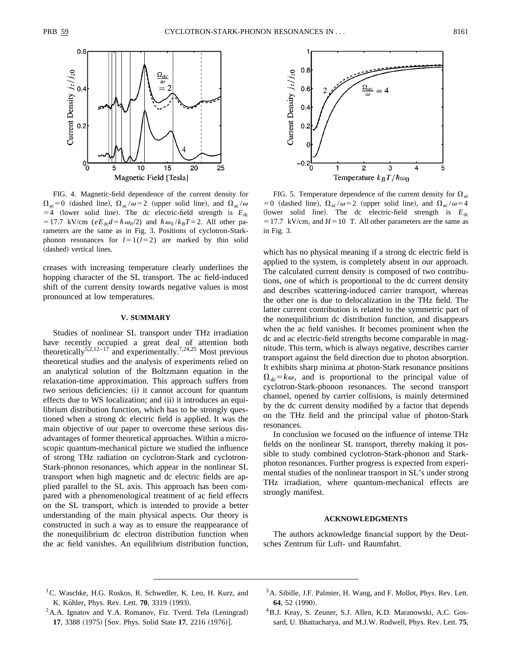

FIG. 4. Magnetic-field dependence of the current density for  $\Omega_{ac} = 0$  (dashed line),  $\Omega_{ac}/\omega = 2$  (upper solid line), and  $\Omega_{ac}/\omega$  $=4$  (lower solid line). The dc electric-field strength is  $E_{dc}$ = 17.7 kV/cm ( $eE_{dc}d=\hbar \omega_0/2$ ) and  $\hbar \omega_0 / k_BT=2$ . All other parameters are the same as in Fig. 3. Positions of cyclotron-Starkphonon resonances for  $l=1(l=2)$  are marked by thin solid (dashed) vertical lines.

creases with increasing temperature clearly underlines the hopping character of the SL transport. The ac field-induced shift of the current density towards negative values is most pronounced at low temperatures.

### **V. SUMMARY**

Studies of nonlinear SL transport under THz irradiation have recently occupied a great deal of attention both theoretically<sup>5,2,12–17</sup> and experimentally.<sup>7,24,25</sup> Most previous theoretical studies and the analysis of experiments relied on an analytical solution of the Boltzmann equation in the relaxation-time approximation. This approach suffers from two serious deficiencies: (i) it cannot account for quantum effects due to WS localization; and (ii) it introduces an equilibrium distribution function, which has to be strongly questioned when a strong dc electric field is applied. It was the main objective of our paper to overcome these serious disadvantages of former theoretical approaches. Within a microscopic quantum-mechanical picture we studied the influence of strong THz radiation on cyclotron-Stark and cyclotron-Stark-phonon resonances, which appear in the nonlinear SL transport when high magnetic and dc electric fields are applied parallel to the SL axis. This approach has been compared with a phenomenological treatment of ac field effects on the SL transport, which is intended to provide a better understanding of the main physical aspects. Our theory is constructed in such a way as to ensure the reappearance of the nonequilibrium dc electron distribution function when the ac field vanishes. An equilibrium distribution function,



FIG. 5. Temperature dependence of the current density for  $\Omega_{ac}$ =0 (dashed line),  $\Omega_{ac}/\omega=2$  (upper solid line), and  $\Omega_{ac}/\omega=4$ (lower solid line). The dc electric-field strength is  $E_{dc}$  $=17.7$  kV/cm, and  $H=10$  T. All other parameters are the same as in Fig. 3.

which has no physical meaning if a strong dc electric field is applied to the system, is completely absent in our approach. The calculated current density is composed of two contributions, one of which is proportional to the dc current density and describes scattering-induced carrier transport, whereas the other one is due to delocalization in the THz field. The latter current contribution is related to the symmetric part of the nonequilibrium dc distribution function, and disappears when the ac field vanishes. It becomes prominent when the dc and ac electric-field strengths become comparable in magnitude. This term, which is always negative, describes carrier transport against the field direction due to photon absorption. It exhibits sharp minima at photon-Stark resonance positions  $\Omega_{dc} = k\omega$ , and is proportional to the principal value of cyclotron-Stark-phonon resonances. The second transport channel, opened by carrier collisions, is mainly determined by the dc current density modified by a factor that depends on the THz field and the principal value of photon-Stark resonances.

In conclusion we focused on the influence of intense THz fields on the nonlinear SL transport, thereby making it possible to study combined cyclotron-Stark-phonon and Starkphoton resonances. Further progress is expected from experimental studies of the nonlinear transport in SL's under strong THz irradiation, where quantum-mechanical effects are strongly manifest.

# **ACKNOWLEDGMENTS**

The authors acknowledge financial support by the Deutsches Zentrum für Luft- und Raumfahrt.

- <sup>1</sup>C. Waschke, H.G. Roskos, R. Schwedler, K. Leo, H. Kurz, and K. Köhler, Phys. Rev. Lett. **70**, 3319 (1993).
- $2$ A.A. Ignatov and Y.A. Romanov, Fiz. Tverd. Tela (Leningrad) **17**, 3388 (1975) [Sov. Phys. Solid State **17**, 2216 (1976)].
- <sup>3</sup>A. Sibille, J.F. Palmier, H. Wang, and F. Mollot, Phys. Rev. Lett. 64, 52 (1990).
- 4B.J. Keay, S. Zeuner, S.J. Allen, K.D. Maranowski, A.C. Gossard, U. Bhattacharya, and M.J.W. Rodwell, Phys. Rev. Lett. **75**,